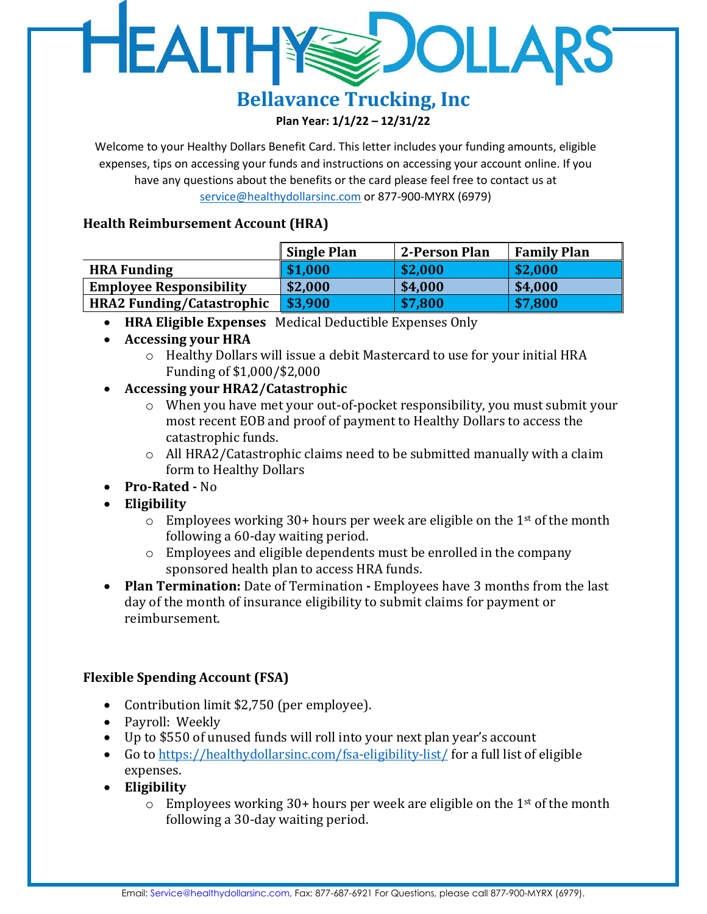## HEALTHY **DOLLARS**

### **Bellavance Trucking, Inc Plan Year: 1/1/22 – 12/31/22**

Welcome to your Healthy Dollars Benefit Card. This letter includes your funding amounts, eligible expenses, tips on accessing your funds and instructions on accessing your account online. If you have any questions about the benefits or the card please feel free to contact us at [service@healthydollarsinc.com](mailto:service@healthydollarsinc.com) or 877-900-MYRX (6979)

### **Health Reimbursement Account (HRA)**

|                                  | <b>Single Plan</b> | 2-Person Plan | <b>Family Plan</b> |
|----------------------------------|--------------------|---------------|--------------------|
| <b>HRA Funding</b>               | \$1,000            | \$2,000       | \$2,000            |
| <b>Employee Responsibility</b>   | \$2,000            | \$4,000       | \$4,000            |
| <b>HRA2 Funding/Catastrophic</b> | \$3,900            | \$7,800       | \$7,800            |

- **HRA Eligible Expenses** Medical Deductible Expenses Only
- **Accessing your HRA**
	- o Healthy Dollars will issue a debit Mastercard to use for your initial HRA Funding of \$1,000/\$2,000
- **Accessing your HRA2/Catastrophic**
	- o When you have met your out-of-pocket responsibility, you must submit your most recent EOB and proof of payment to Healthy Dollars to access the catastrophic funds.
	- $\circ$  All HRA2/Catastrophic claims need to be submitted manually with a claim form to Healthy Dollars
- **Pro-Rated -** No
- **Eligibility**
	- $\circ$  Employees working 30+ hours per week are eligible on the 1<sup>st</sup> of the month following a 60-day waiting period.
	- o Employees and eligible dependents must be enrolled in the company sponsored health plan to access HRA funds.
- **Plan Termination:** Date of Termination **-** Employees have 3 months from the last day of the month of insurance eligibility to submit claims for payment or reimbursement.

## **Flexible Spending Account (FSA)**

- Contribution limit \$2,750 (per employee).
- Payroll: Weekly
- Up to \$550 of unused funds will roll into your next plan year's account
- Go to<https://healthydollarsinc.com/fsa-eligibility-list/> for a full list of eligible expenses.
- **Eligibility**
	- $\circ$  Employees working 30+ hours per week are eligible on the 1<sup>st</sup> of the month following a 30-day waiting period.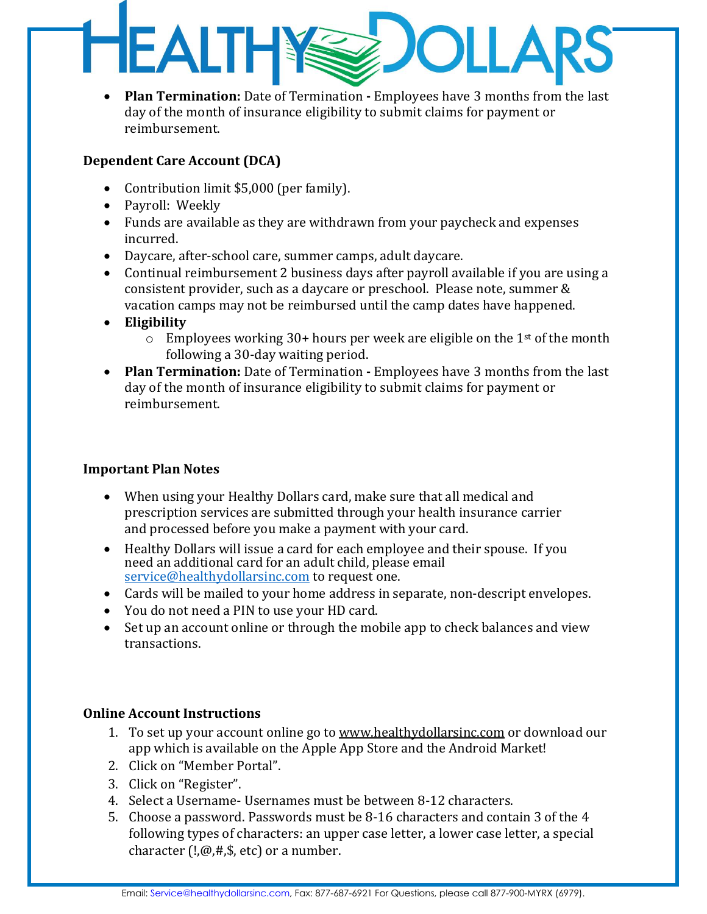# **HEALTH** OLLA

• **Plan Termination:** Date of Termination **-** Employees have 3 months from the last day of the month of insurance eligibility to submit claims for payment or reimbursement.

### **Dependent Care Account (DCA)**

- Contribution limit \$5,000 (per family).
- Payroll: Weekly
- Funds are available as they are withdrawn from your paycheck and expenses incurred.
- Daycare, after-school care, summer camps, adult daycare.
- Continual reimbursement 2 business days after payroll available if you are using a consistent provider, such as a daycare or preschool. Please note, summer & vacation camps may not be reimbursed until the camp dates have happened.
- **Eligibility**
	- $\circ$  Employees working 30+ hours per week are eligible on the 1<sup>st</sup> of the month following a 30-day waiting period.
- **Plan Termination:** Date of Termination **-** Employees have 3 months from the last day of the month of insurance eligibility to submit claims for payment or reimbursement.

#### **Important Plan Notes**

- When using your Healthy Dollars card, make sure that all medical and prescription services are submitted through your health insurance carrier and processed before you make a payment with your card.
- Healthy Dollars will issue a card for each employee and their spouse. If you need an additional card for an adult child, please email [service@healthydollarsinc.com](mailto:service@healthydollarsinc.com) to request one.
- Cards will be mailed to your home address in separate, non-descript envelopes.
- You do not need a PIN to use your HD card.
- Set up an account online or through the mobile app to check balances and view transactions.

### **Online Account Instructions**

- 1. To set up your account online go t[o www.healthydollarsinc.com](http://www.mbicard.com/) or download our app which is available on the Apple App Store and the Android Market!
- 2. Click on "Member Portal".
- 3. Click on "Register".
- 4. Select a Username- Usernames must be between 8-12 characters.
- 5. Choose a password. Passwords must be 8-16 characters and contain 3 of the 4 following types of characters: an upper case letter, a lower case letter, a special character  $(!,\omega,#,,\$)$ , etc) or a number.